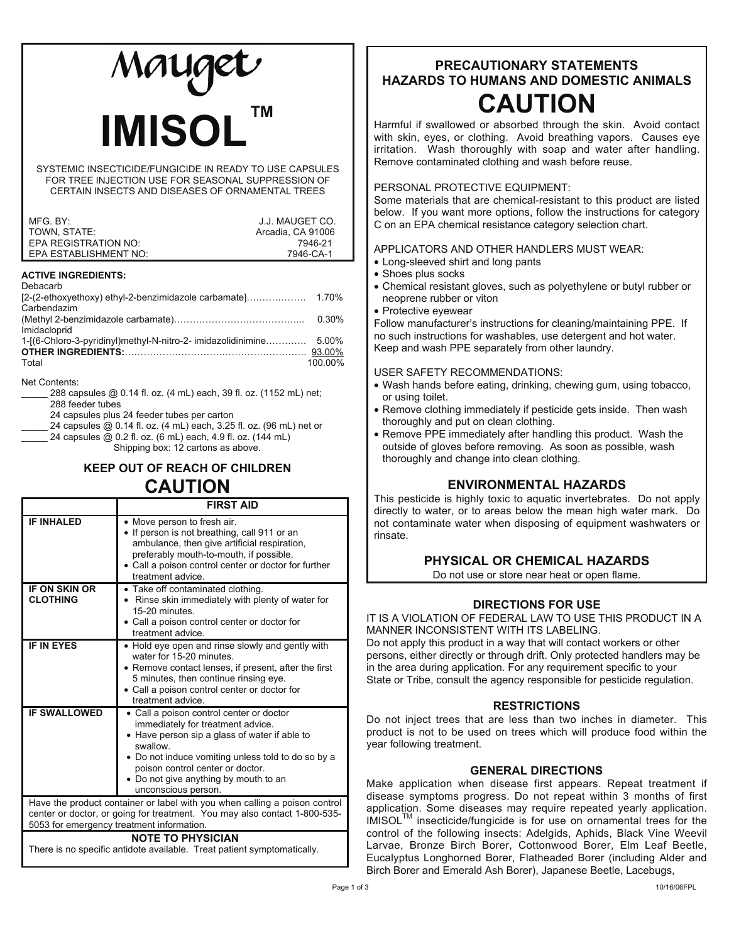# **IMISOL™**

SYSTEMIC INSECTICIDE/FUNGICIDE IN READY TO USE CAPSULES FOR TREE INJECTION USE FOR SEASONAL SUPPRESSION OF CERTAIN INSECTS AND DISEASES OF ORNAMENTAL TREES

| MFG. BY:              | J.J. MAUGET CO.   |
|-----------------------|-------------------|
| TOWN, STATE:          | Arcadia, CA 91006 |
| EPA REGISTRATION NO:  | 7946-21           |
| EPA ESTABLISHMENT NO: | 7946-CA-1         |

#### **ACTIVE INGREDIENTS:**

| Debacarb                                                     |         |
|--------------------------------------------------------------|---------|
|                                                              |         |
| Carbendazim                                                  |         |
|                                                              | 0.30%   |
| Imidacloprid                                                 |         |
| 1-[(6-Chloro-3-pyridinyl)methyl-N-nitro-2- imidazolidinimine | 5.00%   |
|                                                              |         |
| Total                                                        | 100.00% |
|                                                              |         |

Net Contents:

| 288 capsules @ 0.14 fl. oz. (4 mL) each, 39 fl. oz. (1152 mL) net:  |
|---------------------------------------------------------------------|
| 288 feeder tubes                                                    |
| 24 capsules plus 24 feeder tubes per carton                         |
| 24 capsules @ 0.14 fl. oz. (4 mL) each, 3.25 fl. oz. (96 mL) net or |
| 24 capsules @ 0.2 fl. oz. (6 mL) each, 4.9 fl. oz. (144 mL)         |
| Shipping box: 12 cartons as above.                                  |

# **KEEP OUT OF REACH OF CHILDREN CAUTION**

|                                                                           | <b>FIRST AID</b>                                                                                                                                                                                                                                    |  |
|---------------------------------------------------------------------------|-----------------------------------------------------------------------------------------------------------------------------------------------------------------------------------------------------------------------------------------------------|--|
| <b>IF INHALED</b>                                                         | • Move person to fresh air.<br>• If person is not breathing, call 911 or an<br>ambulance, then give artificial respiration,<br>preferably mouth-to-mouth, if possible.<br>• Call a poison control center or doctor for further<br>treatment advice. |  |
| <b>IF ON SKIN OR</b>                                                      | • Take off contaminated clothing.                                                                                                                                                                                                                   |  |
| <b>CLOTHING</b>                                                           | • Rinse skin immediately with plenty of water for<br>15-20 minutes.                                                                                                                                                                                 |  |
|                                                                           | • Call a poison control center or doctor for<br>treatment advice.                                                                                                                                                                                   |  |
| <b>IF IN EYES</b>                                                         | • Hold eye open and rinse slowly and gently with<br>water for 15-20 minutes                                                                                                                                                                         |  |
|                                                                           | • Remove contact lenses, if present, after the first                                                                                                                                                                                                |  |
|                                                                           | 5 minutes, then continue rinsing eye.                                                                                                                                                                                                               |  |
|                                                                           | • Call a poison control center or doctor for<br>treatment advice.                                                                                                                                                                                   |  |
| <b>IF SWALLOWED</b>                                                       | • Call a poison control center or doctor                                                                                                                                                                                                            |  |
|                                                                           | immediately for treatment advice.<br>• Have person sip a glass of water if able to<br>swallow                                                                                                                                                       |  |
|                                                                           | • Do not induce vomiting unless told to do so by a                                                                                                                                                                                                  |  |
|                                                                           | poison control center or doctor.                                                                                                                                                                                                                    |  |
|                                                                           | • Do not give anything by mouth to an<br>unconscious person.                                                                                                                                                                                        |  |
|                                                                           | Have the product container or label with you when calling a poison control                                                                                                                                                                          |  |
| center or doctor, or going for treatment. You may also contact 1-800-535- |                                                                                                                                                                                                                                                     |  |
| 5053 for emergency treatment information.<br><b>NOTE TO PHYSICIAN</b>     |                                                                                                                                                                                                                                                     |  |
| There is no specific antidote available. Treat patient symptomatically.   |                                                                                                                                                                                                                                                     |  |

# **PRECAUTIONARY STATEMENTS HAZARDS TO HUMANS AND DOMESTIC ANIMALS CAUTION**

Harmful if swallowed or absorbed through the skin. Avoid contact with skin, eyes, or clothing. Avoid breathing vapors. Causes eye irritation. Wash thoroughly with soap and water after handling. Remove contaminated clothing and wash before reuse.

# PERSONAL PROTECTIVE EQUIPMENT:

Some materials that are chemical-resistant to this product are listed below. If you want more options, follow the instructions for category C on an EPA chemical resistance category selection chart.

# APPLICATORS AND OTHER HANDLERS MUST WEAR:

- Long-sleeved shirt and long pants
- Shoes plus socks
- Chemical resistant gloves, such as polyethylene or butyl rubber or neoprene rubber or viton
- Protective eyewear

Follow manufacturer's instructions for cleaning/maintaining PPE. If no such instructions for washables, use detergent and hot water. Keep and wash PPE separately from other laundry.

USER SAFETY RECOMMENDATIONS:

- Wash hands before eating, drinking, chewing gum, using tobacco, or using toilet.
- Remove clothing immediately if pesticide gets inside. Then wash thoroughly and put on clean clothing.
- Remove PPE immediately after handling this product. Wash the outside of gloves before removing. As soon as possible, wash thoroughly and change into clean clothing.

# **ENVIRONMENTAL HAZARDS**

This pesticide is highly toxic to aquatic invertebrates. Do not apply directly to water, or to areas below the mean high water mark. Do not contaminate water when disposing of equipment washwaters or rinsate.

# **PHYSICAL OR CHEMICAL HAZARDS**

Do not use or store near heat or open flame.

# **DIRECTIONS FOR USE**

IT IS A VIOLATION OF FEDERAL LAW TO USE THIS PRODUCT IN A MANNER INCONSISTENT WITH ITS LABELING.

Do not apply this product in a way that will contact workers or other persons, either directly or through drift. Only protected handlers may be in the area during application. For any requirement specific to your State or Tribe, consult the agency responsible for pesticide regulation.

# **RESTRICTIONS**

Do not inject trees that are less than two inches in diameter. This product is not to be used on trees which will produce food within the year following treatment.

# **GENERAL DIRECTIONS**

Make application when disease first appears. Repeat treatment if disease symptoms progress. Do not repeat within 3 months of first application. Some diseases may require repeated yearly application.  $\mathsf{IN}^{\mathsf{IN}}$  insecticide/fungicide is for use on ornamental trees for the control of the following insects: Adelgids, Aphids, Black Vine Weevil Larvae, Bronze Birch Borer, Cottonwood Borer, Elm Leaf Beetle, Eucalyptus Longhorned Borer, Flatheaded Borer (including Alder and Birch Borer and Emerald Ash Borer), Japanese Beetle, Lacebugs,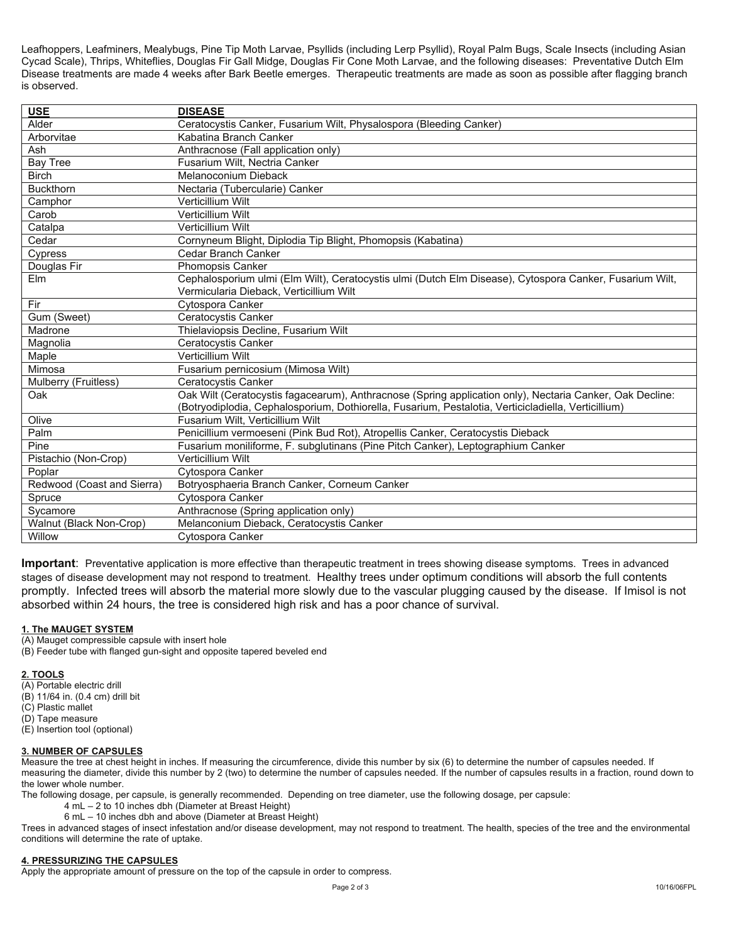Leafhoppers, Leafminers, Mealybugs, Pine Tip Moth Larvae, Psyllids (including Lerp Psyllid), Royal Palm Bugs, Scale Insects (including Asian Cycad Scale), Thrips, Whiteflies, Douglas Fir Gall Midge, Douglas Fir Cone Moth Larvae, and the following diseases: Preventative Dutch Elm Disease treatments are made 4 weeks after Bark Beetle emerges. Therapeutic treatments are made as soon as possible after flagging branch is observed.

| <b>USE</b>                 | <b>DISEASE</b>                                                                                           |
|----------------------------|----------------------------------------------------------------------------------------------------------|
| Alder                      | Ceratocystis Canker, Fusarium Wilt, Physalospora (Bleeding Canker)                                       |
| Arborvitae                 | Kabatina Branch Canker                                                                                   |
| Ash                        | Anthracnose (Fall application only)                                                                      |
| <b>Bay Tree</b>            | Fusarium Wilt, Nectria Canker                                                                            |
| <b>Birch</b>               | Melanoconium Dieback                                                                                     |
| <b>Buckthorn</b>           | Nectaria (Tubercularie) Canker                                                                           |
| Camphor                    | Verticillium Wilt                                                                                        |
| Carob                      | Verticillium Wilt                                                                                        |
| Catalpa                    | Verticillium Wilt                                                                                        |
| Cedar                      | Cornyneum Blight, Diplodia Tip Blight, Phomopsis (Kabatina)                                              |
| Cypress                    | Cedar Branch Canker                                                                                      |
| Douglas Fir                | Phomopsis Canker                                                                                         |
| Elm                        | Cephalosporium ulmi (Elm Wilt), Ceratocystis ulmi (Dutch Elm Disease), Cytospora Canker, Fusarium Wilt,  |
|                            | Vermicularia Dieback, Verticillium Wilt                                                                  |
| Fir                        | <b>Cytospora Canker</b>                                                                                  |
| Gum (Sweet)                | Ceratocystis Canker                                                                                      |
| Madrone                    | Thielaviopsis Decline, Fusarium Wilt                                                                     |
| Magnolia                   | Ceratocystis Canker                                                                                      |
| Maple                      | Verticillium Wilt                                                                                        |
| Mimosa                     | Fusarium pernicosium (Mimosa Wilt)                                                                       |
| Mulberry (Fruitless)       | Ceratocystis Canker                                                                                      |
| Oak                        | Oak Wilt (Ceratocystis fagacearum), Anthracnose (Spring application only), Nectaria Canker, Oak Decline: |
|                            | (Botryodiplodia, Cephalosporium, Dothiorella, Fusarium, Pestalotia, Verticicladiella, Verticillium)      |
| Olive                      | Fusarium Wilt, Verticillium Wilt                                                                         |
| Palm                       | Penicillium vermoeseni (Pink Bud Rot), Atropellis Canker, Ceratocystis Dieback                           |
| Pine                       | Fusarium moniliforme, F. subglutinans (Pine Pitch Canker), Leptographium Canker                          |
| Pistachio (Non-Crop)       | Verticillium Wilt                                                                                        |
| Poplar                     | Cytospora Canker                                                                                         |
| Redwood (Coast and Sierra) | Botryosphaeria Branch Canker, Corneum Canker                                                             |
| Spruce                     | Cytospora Canker                                                                                         |
| Sycamore                   | Anthracnose (Spring application only)                                                                    |
| Walnut (Black Non-Crop)    | Melanconium Dieback, Ceratocystis Canker                                                                 |
| Willow                     | Cytospora Canker                                                                                         |

**Important**: Preventative application is more effective than therapeutic treatment in trees showing disease symptoms. Trees in advanced stages of disease development may not respond to treatment. Healthy trees under optimum conditions will absorb the full contents promptly. Infected trees will absorb the material more slowly due to the vascular plugging caused by the disease. If Imisol is not absorbed within 24 hours, the tree is considered high risk and has a poor chance of survival.

#### **1. The MAUGET SYSTEM**

(A) Mauget compressible capsule with insert hole

(B) Feeder tube with flanged gun-sight and opposite tapered beveled end

#### **2. TOOLS**

(A) Portable electric drill

(B) 11/64 in. (0.4 cm) drill bit

(C) Plastic mallet

(D) Tape measure

(E) Insertion tool (optional)

#### **3. NUMBER OF CAPSULES**

Measure the tree at chest height in inches. If measuring the circumference, divide this number by six (6) to determine the number of capsules needed. If measuring the diameter, divide this number by 2 (two) to determine the number of capsules needed. If the number of capsules results in a fraction, round down to the lower whole number.

The following dosage, per capsule, is generally recommended. Depending on tree diameter, use the following dosage, per capsule:

- 4 mL 2 to 10 inches dbh (Diameter at Breast Height)
- 6 mL 10 inches dbh and above (Diameter at Breast Height)

Trees in advanced stages of insect infestation and/or disease development, may not respond to treatment. The health, species of the tree and the environmental conditions will determine the rate of uptake.

#### **4. PRESSURIZING THE CAPSULES**

Apply the appropriate amount of pressure on the top of the capsule in order to compress.